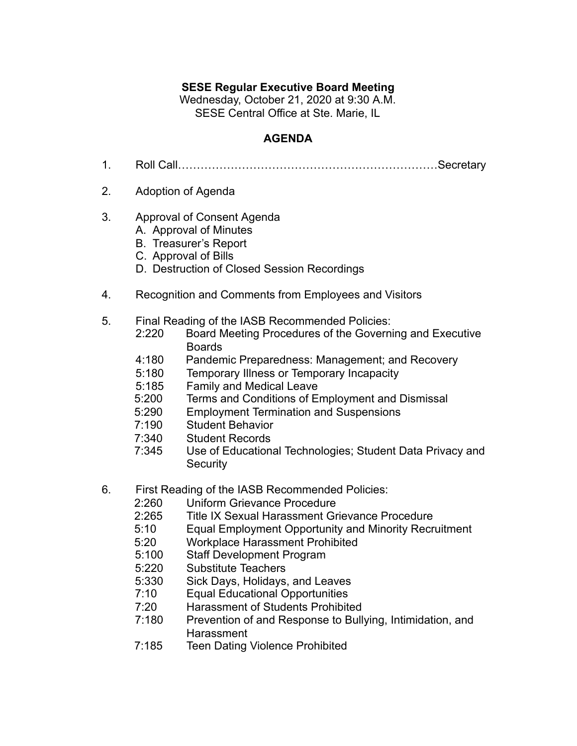## **SESE Regular Executive Board Meeting**

Wednesday, October 21, 2020 at 9:30 A.M. SESE Central Office at Ste. Marie, IL

## **AGENDA**

- 1. Roll Call……………………………………………………………Secretary
- 2. Adoption of Agenda
- 3. Approval of Consent Agenda
	- A. Approval of Minutes
	- B. Treasurer's Report
	- C. Approval of Bills
	- D. Destruction of Closed Session Recordings
- 4. Recognition and Comments from Employees and Visitors
- 5. Final Reading of the IASB Recommended Policies:
	- 2:220 Board Meeting Procedures of the Governing and Executive Boards
	- 4:180 Pandemic Preparedness: Management; and Recovery
	- 5:180 Temporary Illness or Temporary Incapacity
	- 5:185 Family and Medical Leave
	- 5:200 Terms and Conditions of Employment and Dismissal
	- 5:290 Employment Termination and Suspensions
	- 7:190 Student Behavior
	- 7:340 Student Records
	- 7:345 Use of Educational Technologies; Student Data Privacy and **Security**
- 6. First Reading of the IASB Recommended Policies:
	- 2:260 Uniform Grievance Procedure
	- 2:265 Title IX Sexual Harassment Grievance Procedure
	- 5:10 Equal Employment Opportunity and Minority Recruitment
	- 5:20 Workplace Harassment Prohibited
	- 5:100 Staff Development Program
	- 5:220 Substitute Teachers
	- 5:330 Sick Days, Holidays, and Leaves<br>7:10 Equal Educational Opportunities
	- **Equal Educational Opportunities**
	- 7:20 Harassment of Students Prohibited
	- 7:180 Prevention of and Response to Bullying, Intimidation, and **Harassment**
	- 7:185 Teen Dating Violence Prohibited